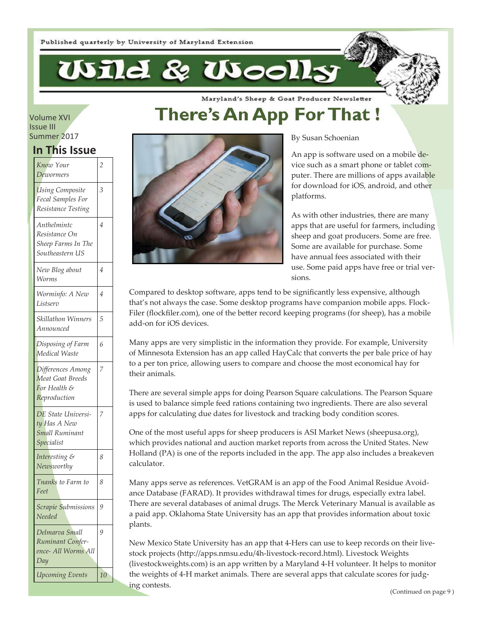Wild & Wooll

Maryland's Sheep & Goat Producer Newsletter

# **There's An App For That !**

#### Volume XVI Issue III Summer 2017

### **In This Issue**

| Know Your<br>Dewormers                                                    | 2  |
|---------------------------------------------------------------------------|----|
| <b>Using Composite</b><br>Fecal Samples For<br>Resistance Testing         | 3  |
| Anthelmintc<br>Resistance On<br>Sheep Farms In The<br>Southeastern US     | 4  |
| New Blog about<br>Worms                                                   | 4  |
| Worminfo: A New<br>Listserv                                               | 4  |
| Skillathon Winners<br>Announced                                           | 5  |
| Disposing of Farm<br>Medical Waste                                        | 6  |
| Differences Among<br>Meat Goat Breeds<br>For Health &<br>Reproduction     | 7  |
| DE State Universi-<br>ty Has A New<br><b>Small Ruminant</b><br>Specialist | 7  |
| Interesting &<br>Newsworthy                                               | 8  |
| Tnanks to Farm to<br>Feet                                                 | 8  |
| Scrapie Submissions<br>Needed                                             | 9  |
| Delmarva Small<br>Ruminant Confer-<br>ence- All Worms All<br>Day          | 9  |
| Upcoming Events                                                           | 10 |



By Susan Schoenian

An app is software used on a mobile device such as a smart phone or tablet computer. There are millions of apps available for download for iOS, android, and other platforms.

As with other industries, there are many apps that are useful for farmers, including sheep and goat producers. Some are free. Some are available for purchase. Some have annual fees associated with their use. Some paid apps have free or trial versions.

Compared to desktop software, apps tend to be significantly less expensive, although that's not always the case. Some desktop programs have companion mobile apps. Flock-Filer (flockfiler.com), one of the better record keeping programs (for sheep), has a mobile add-on for iOS devices.

Many apps are very simplistic in the information they provide. For example, University of Minnesota Extension has an app called HayCalc that converts the per bale price of hay to a per ton price, allowing users to compare and choose the most economical hay for their animals.

There are several simple apps for doing Pearson Square calculations. The Pearson Square is used to balance simple feed rations containing two ingredients. There are also several apps for calculating due dates for livestock and tracking body condition scores.

One of the most useful apps for sheep producers is ASI Market News (sheepusa.org), which provides national and auction market reports from across the United States. New Holland (PA) is one of the reports included in the app. The app also includes a breakeven calculator.

Many apps serve as references. VetGRAM is an app of the Food Animal Residue Avoidance Database (FARAD). It provides withdrawal times for drugs, especially extra label. There are several databases of animal drugs. The Merck Veterinary Manual is available as a paid app. Oklahoma State University has an app that provides information about toxic plants.

New Mexico State University has an app that 4-Hers can use to keep records on their livestock projects (http://apps.nmsu.edu/4h-livestock-record.html). Livestock Weights (livestockweights.com) is an app written by a Maryland 4-H volunteer. It helps to monitor the weights of 4-H market animals. There are several apps that calculate scores for judging contests.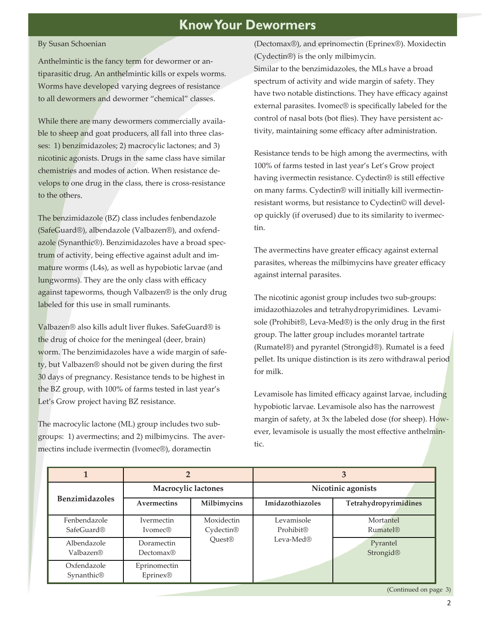### **Know Your Dewormers**

#### By Susan Schoenian

Anthelmintic is the fancy term for dewormer or antiparasitic drug. An anthelmintic kills or expels worms. Worms have developed varying degrees of resistance to all dewormers and dewormer "chemical" classes.

While there are many dewormers commercially available to sheep and goat producers, all fall into three classes: 1) benzimidazoles; 2) macrocylic lactones; and 3) nicotinic agonists. Drugs in the same class have similar chemistries and modes of action. When resistance develops to one drug in the class, there is cross-resistance to the others.

The benzimidazole (BZ) class includes fenbendazole (SafeGuard®), albendazole (Valbazen®), and oxfendazole (Synanthic®). Benzimidazoles have a broad spectrum of activity, being effective against adult and immature worms (L4s), as well as hypobiotic larvae (and lungworms). They are the only class with efficacy against tapeworms, though Valbazen® is the only drug labeled for this use in small ruminants.

Valbazen® also kills adult liver flukes. SafeGuard® is the drug of choice for the meningeal (deer, brain) worm. The benzimidazoles have a wide margin of safe $t_y$ , but Valbazen® should not be given during the first 30 days of pregnancy. Resistance tends to be highest in the BZ group, with 100% of farms tested in last year's Let's Grow project having BZ resistance.

The macrocylic lactone (ML) group includes two subgroups: 1) avermectins; and 2) milbimycins. The avermectins include ivermectin (Ivomec®), doramectin

(Dectomax®), and eprinomectin (Eprinex®). Moxidectin  $(Cy \cdot e)$  is the only milbimycin.

Similar to the benzimidazoles, the MLs have a broad spectrum of activity and wide margin of safety. They have two notable distinctions. They have efficacy against external parasites. Ivomec® is specifically labeled for the control of nasal bots (bot flies). They have persistent activity, maintaining some efficacy after administration.

Resistance tends to be high among the avermectins, with 100% of farms tested in last year's Let's Grow project having ivermectin resistance. Cydectin® is still effective on many farms. Cydectin® will initially kill ivermectinresistant worms, but resistance to Cydectin© will develop quickly (if overused) due to its similarity to ivermectin.

The avermectins have greater efficacy against external parasites, whereas the milbimycins have greater efficacy against internal parasites.

The nicotinic agonist group includes two sub-groups: imidazothiazoles and tetrahydropyrimidines. Levamisole (Prohibit®, Leva-Med®) is the only drug in the first group. The latter group includes morantel tartrate (Rumatel®) and pyrantel (Strongid®). Rumatel is a feed pellet. Its unique distinction is its zero withdrawal period for milk.

Levamisole has limited efficacy against larvae, including hypobiotic larvae. Levamisole also has the narrowest margin of safety, at 3x the labeled dose (for sheep). However, levamisole is usually the most effective anthelmintic.

|                                        | 2                                   |                                     |                         | 3                            |
|----------------------------------------|-------------------------------------|-------------------------------------|-------------------------|------------------------------|
|                                        | Macrocylic lactones                 |                                     | Nicotinic agonists      |                              |
| <b>Benzimidazoles</b>                  | Avermectins                         | Milbimycins                         | Imidazothiazoles        | Tetrahydropyrimidines        |
| Fenbendazole<br>SafeGuard <sup>®</sup> | <b>Ivermectin</b><br><b>Ivomec®</b> | Moxidectin<br>Cydectin <sup>®</sup> | Levamisole<br>Prohibit® | Mortantel<br><b>Rumatel®</b> |
| Albendazole<br>Valbazen®               | Doramectin<br>Dectomax®             | Quest <sup>®</sup>                  | Leva-Med $\mathbb R$    | Pyrantel<br>Strongid®        |
| Oxfendazole<br>Synanthic <sup>®</sup>  | Eprinomectin<br>Eprinex®            |                                     |                         |                              |

(Continued on page 3)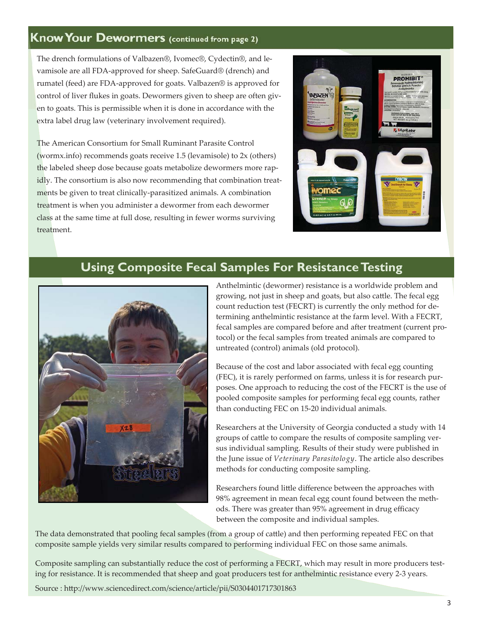### **Know Your Dewormers (continued from page 2)**

The drench formulations of Valbazen®, Ivomec®, Cydectin®, and levamisole are all FDA-approved for sheep. SafeGuard® (drench) and rumatel (feed) are FDA-approved for goats. Valbazen® is approved for control of liver flukes in goats. Dewormers given to sheep are often given to goats. This is permissible when it is done in accordance with the extra label drug law (veterinary involvement required).

The American Consortium for Small Ruminant Parasite Control (wormx.info) recommends goats receive 1.5 (levamisole) to 2x (others) the labeled sheep dose because goats metabolize dewormers more rapidly. The consortium is also now recommending that combination treatments be given to treat clinically-parasitized animals. A combination treatment is when you administer a dewormer from each dewormer class at the same time at full dose, resulting in fewer worms surviving treatment.



# **Using Composite Fecal Samples For Resistance Testing**



Anthelmintic (dewormer) resistance is a worldwide problem and growing, not just in sheep and goats, but also cattle. The fecal egg count reduction test (FECRT) is currently the only method for determining anthelmintic resistance at the farm level. With a FECRT, fecal samples are compared before and after treatment (current protocol) or the fecal samples from treated animals are compared to untreated (control) animals (old protocol).

Because of the cost and labor associated with fecal egg counting (FEC), it is rarely performed on farms, unless it is for research purposes. One approach to reducing the cost of the FECRT is the use of pooled composite samples for performing fecal egg counts, rather than conducting FEC on 15-20 individual animals.

Researchers at the University of Georgia conducted a study with 14 groups of cattle to compare the results of composite sampling versus individual sampling. Results of their study were published in the June issue of *Veterinary Parasitology*. The article also describes methods for conducting composite sampling.

Researchers found little difference between the approaches with 98% agreement in mean fecal egg count found between the methods. There was greater than 95% agreement in drug efficacy between the composite and individual samples.

The data demonstrated that pooling fecal samples (from a group of cattle) and then performing repeated FEC on that composite sample yields very similar results compared to performing individual FEC on those same animals.

Composite sampling can substantially reduce the cost of performing a FECRT, which may result in more producers testing for resistance. It is recommended that sheep and goat producers test for anthelmintic resistance every 2-3 years.

Source : http://www.sciencedirect.com/science/article/pii/S0304401717301863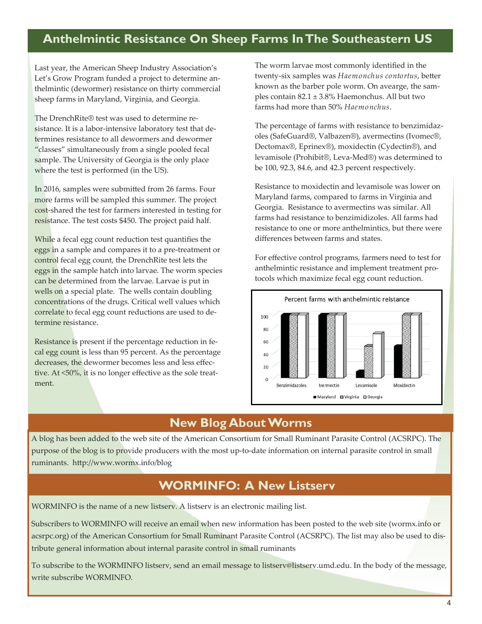### **Anthelmintic Resistance On Sheep Farms In The Southeastern US**

Last year, the American Sheep Industry Association's Let's Grow Program funded a project to determine anthelmintic (dewormer) resistance on thirty commercial sheep farms in Maryland, Virginia, and Georgia.

The DrenchRite® test was used to determine resistance. It is a labor-intensive laboratory test that determines resistance to all dewormers and dewormer "classes" simultaneously from a single pooled fecal sample. The University of Georgia is the only place where the test is performed (in the US).

In 2016, samples were submitted from 26 farms. Four more farms will be sampled this summer. The project cost-shared the test for farmers interested in testing for resistance. The test costs \$450. The project paid half.

While a fecal egg count reduction test quantifies the eggs in a sample and compares it to a pre-treatment or control fecal egg count, the DrenchRite test lets the eggs in the sample hatch into larvae. The worm species can be determined from the larvae. Larvae is put in wells on a special plate. The wells contain doubling concentrations of the drugs. Critical well values which correlate to fecal egg count reductions are used to determine resistance.

Resistance is present if the percentage reduction in fecal egg count is less than 95 percent. As the percentage decreases, the dewormer becomes less and less effective. At <50%, it is no longer effective as the sole treatment.

The worm larvae most commonly identified in the twenty-six samples was *Haemonchus contortus*, better known as the barber pole worm. On avearge, the samples contain 82.1 ± 3.8% Haemonchus. All but two farms had more than 50% *Haemonchus*.

The percentage of farms with resistance to benzimidazoles (SafeGuard®, Valbazen®), avermectins (Ivomec®, Dectomax®, Eprinex®), moxidectin (Cydectin®), and levamisole (Prohibit®, Leva-Med®) was determined to be  $100$ ,  $92.3$ ,  $84.6$ , and  $42.3$  percent respectively.

Resistance to moxidectin and levamisole was lower on Maryland farms, compared to farms in Virginia and Georgia. Resistance to avermectins was similar. All farms had resistance to benzimidizoles. All farms had resistance to one or more anthelmintics, but there were differences between farms and states.

For effective control programs, farmers need to test for anthelmintic resistance and implement treatment protocols which maximize fecal egg count reduction.



### **New Blog About Worms**

A blog has been added to the web site of the American Consortium for Small Ruminant Parasite Control (ACSRPC). The purpose of the blog is to provide producers with the most up-to-date information on internal parasite control in small ruminants. http://www.wormx.info/blog

### **WORMINFO: A New Listserv**

WORMINFO is the name of a new listserv. A listserv is an electronic mailing list.

Subscribers to WORMINFO will receive an email when new information has been posted to the web site (wormx.info or acsrpc.org) of the American Consortium for Small Ruminant Parasite Control (ACSRPC). The list may also be used to distribute general information about internal parasite control in small ruminants

To subscribe to the WORMINFO listserv, send an email message to listserv@listserv.umd.edu. In the body of the message, write subscribe WORMINFO.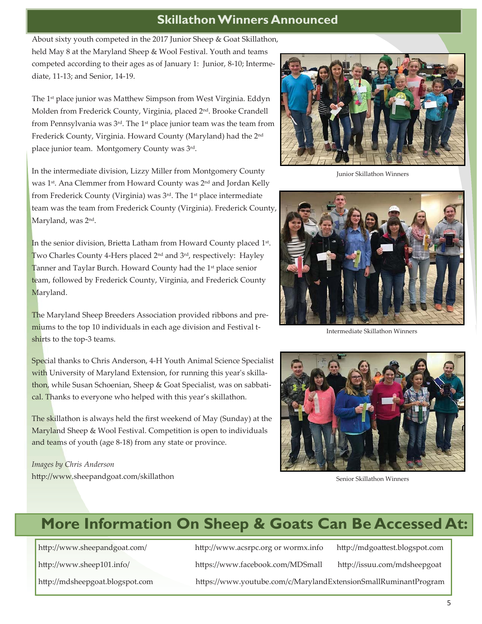### **Skillathon Winners Announced**

About sixty youth competed in the 2017 Junior Sheep & Goat Skillathon, held May 8 at the Maryland Sheep & Wool Festival. Youth and teams competed according to their ages as of January 1: Junior, 8-10; Intermediate, 11-13; and Senior, 14-19.

The 1<sup>st</sup> place junior was Matthew Simpson from West Virginia. Eddyn Molden from Frederick County, Virginia, placed 2nd. Brooke Crandell from Pennsylvania was  $3<sup>rd</sup>$ . The 1<sup>st</sup> place junior team was the team from Frederick County, Virginia. Howard County (Maryland) had the 2nd place junior team. Montgomery County was 3rd.

In the intermediate division, Lizzy Miller from Montgomery County was 1<sup>st</sup>. Ana Clemmer from Howard County was 2<sup>nd</sup> and Jordan Kelly from Frederick County (Virginia) was 3<sup>rd</sup>. The 1<sup>st</sup> place intermediate team was the team from Frederick County (Virginia). Frederick County, Maryland, was 2<sup>nd</sup>.

In the senior division, Brietta Latham from Howard County placed 1st. Two Charles County 4-Hers placed  $2^{nd}$  and  $3^{rd}$ , respectively: Hayley Tanner and Taylar Burch. Howard County had the 1<sup>st</sup> place senior team, followed by Frederick County, Virginia, and Frederick County Maryland.

The Maryland Sheep Breeders Association provided ribbons and premiums to the top 10 individuals in each age division and Festival tshirts to the top-3 teams.

Special thanks to Chris Anderson, 4-H Youth Animal Science Specialist with University of Maryland Extension, for running this year's skillathon, while Susan Schoenian, Sheep & Goat Specialist, was on sabbatical. Thanks to everyone who helped with this year's skillathon.

The skillathon is always held the first weekend of May (Sunday) at the Maryland Sheep & Wool Festival. Competition is open to individuals and teams of youth (age 8-18) from any state or province.

*Images by Chris Anderson*  http://www.sheepandgoat.com/skillathon



Junior Skillathon Winners



Intermediate Skillathon Winners



Senior Skillathon Winners

# **More Information On Sheep & Goats Can Be Accessed At:**

http://www.sheepandgoat.com/ http://www.acsrpc.org or wormx.info http://mdgoattest.blogspot.com

http://www.sheep101.info/ https://www.facebook.com/MDSmall http://issuu.com/mdsheepgoat

http://mdsheepgoat.blogspot.com https://www.youtube.com/c/MarylandExtensionSmallRuminantProgram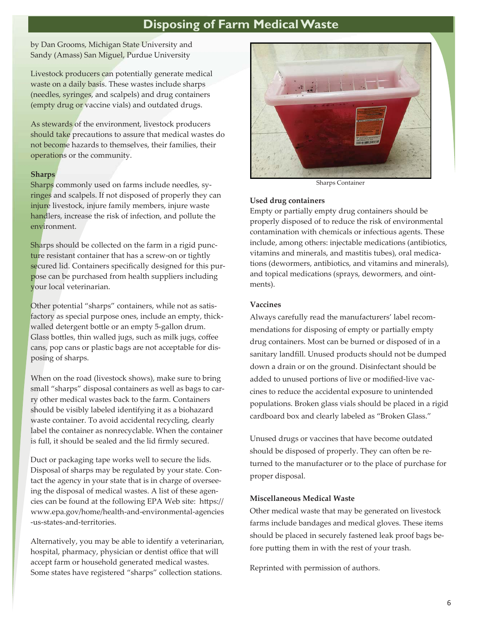# **Disposing of Farm Medical Waste**

by Dan Grooms, Michigan State University and Sandy (Amass) San Miguel, Purdue University

Livestock producers can potentially generate medical waste on a daily basis. These wastes include sharps (needles, syringes, and scalpels) and drug containers (empty drug or vaccine vials) and outdated drugs.

As stewards of the environment, livestock producers should take precautions to assure that medical wastes do not become hazards to themselves, their families, their operations or the community.

### **Sharps**

Sharps commonly used on farms include needles, syringes and scalpels. If not disposed of properly they can injure livestock, injure family members, injure waste handlers, increase the risk of infection, and pollute the environment.

Sharps should be collected on the farm in a rigid puncture resistant container that has a screw-on or tightly secured lid. Containers specifically designed for this purpose can be purchased from health suppliers including your local veterinarian.

Other potential "sharps" containers, while not as satisfactory as special purpose ones, include an empty, thickwalled detergent bottle or an empty 5-gallon drum. Glass bottles, thin walled jugs, such as milk jugs, coffee cans, pop cans or plastic bags are not acceptable for disposing of sharps.

When on the road (livestock shows), make sure to bring small "sharps" disposal containers as well as bags to carry other medical wastes back to the farm. Containers should be visibly labeled identifying it as a biohazard waste container. To avoid accidental recycling, clearly label the container as nonrecyclable. When the container is full, it should be sealed and the lid firmly secured.

Duct or packaging tape works well to secure the lids. Disposal of sharps may be regulated by your state. Contact the agency in your state that is in charge of overseeing the disposal of medical wastes. A list of these agencies can be found at the following EPA Web site: https:// www.epa.gov/home/health-and-environmental-agencies -us-states-and-territories.

Alternatively, you may be able to identify a veterinarian, hospital, pharmacy, physician or dentist office that will accept farm or household generated medical wastes. Some states have registered "sharps" collection stations.



Sharps Container

#### **Used drug containers**

Empty or partially empty drug containers should be properly disposed of to reduce the risk of environmental contamination with chemicals or infectious agents. These include, among others: injectable medications (antibiotics, vitamins and minerals, and mastitis tubes), oral medications (dewormers, antibiotics, and vitamins and minerals), and topical medications (sprays, dewormers, and ointments).

### **Vaccines**

Always carefully read the manufacturers' label recommendations for disposing of empty or partially empty drug containers. Most can be burned or disposed of in a sanitary landfill. Unused products should not be dumped down a drain or on the ground. Disinfectant should be added to unused portions of live or modified-live vaccines to reduce the accidental exposure to unintended populations. Broken glass vials should be placed in a rigid cardboard box and clearly labeled as "Broken Glass."

Unused drugs or vaccines that have become outdated should be disposed of properly. They can often be returned to the manufacturer or to the place of purchase for proper disposal.

### **Miscellaneous Medical Waste**

Other medical waste that may be generated on livestock farms include bandages and medical gloves. These items should be placed in securely fastened leak proof bags before putting them in with the rest of your trash.

Reprinted with permission of authors.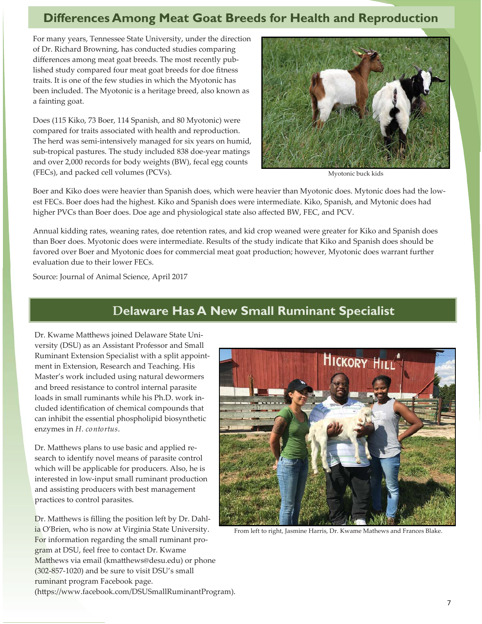### **Differences Among Meat Goat Breeds for Health and Reproduction**

For many years, Tennessee State University, under the direction of Dr. Richard Browning, has conducted studies comparing differences among meat goat breeds. The most recently published study compared four meat goat breeds for doe fitness traits. It is one of the few studies in which the Myotonic has been included. The Myotonic is a heritage breed, also known as a fainting goat.

Does (115 Kiko, 73 Boer, 114 Spanish, and 80 Myotonic) were compared for traits associated with health and reproduction. The herd was semi-intensively managed for six years on humid, sub-tropical pastures. The study included 838 doe-year matings and over 2,000 records for body weights (BW), fecal egg counts (FECs), and packed cell volumes (PCVs).



Myotonic buck kids

Boer and Kiko does were heavier than Spanish does, which were heavier than Myotonic does. Mytonic does had the lowest FECs. Boer does had the highest. Kiko and Spanish does were intermediate. Kiko, Spanish, and Mytonic does had higher PVCs than Boer does. Doe age and physiological state also affected BW, FEC, and PCV.

Annual kidding rates, weaning rates, doe retention rates, and kid crop weaned were greater for Kiko and Spanish does than Boer does. Myotonic does were intermediate. Results of the study indicate that Kiko and Spanish does should be favored over Boer and Myotonic does for commercial meat goat production; however, Myotonic does warrant further evaluation due to their lower FECs.

Source: Journal of Animal Science, April 2017

### **Delaware Has A New Small Ruminant Specialist**

Dr. Kwame Matthews joined Delaware State University (DSU) as an Assistant Professor and Small Ruminant Extension Specialist with a split appointment in Extension, Research and Teaching. His Master's work included using natural dewormers and breed resistance to control internal parasite loads in small ruminants while his Ph.D. work included identification of chemical compounds that can inhibit the essential phospholipid biosynthetic enzymes in *H. contortus*.

Dr. Matthews plans to use basic and applied research to identify novel means of parasite control which will be applicable for producers. Also, he is interested in low-input small ruminant production and assisting producers with best management practices to control parasites.

Dr. Matthews is filling the position left by Dr. Dahlia O'Brien, who is now at Virginia State University. For information regarding the small ruminant program at DSU, feel free to contact Dr. Kwame Matthews via email (kmatthews@desu.edu) or phone  $(302-857-1020)$  and be sure to visit DSU's small ruminant program Facebook page. (https://www.facebook.com/DSUSmallRuminantProgram).



From left to right, Jasmine Harris, Dr. Kwame Mathews and Frances Blake.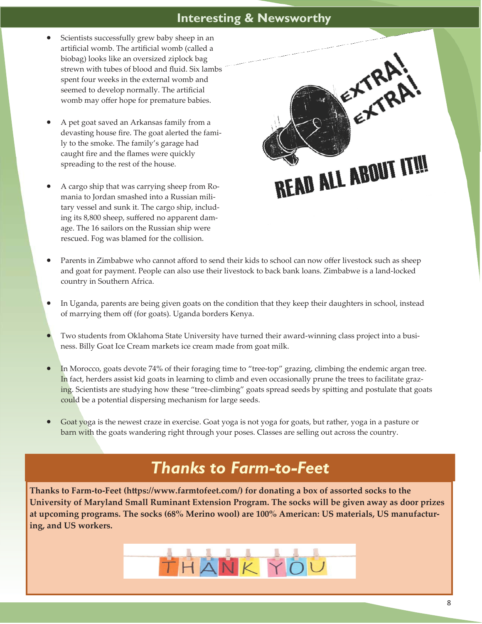### **Interesting & Newsworthy**

- Scientists successfully grew baby sheep in an artificial womb. The artificial womb (called a biobag) looks like an oversized ziplock bag strewn with tubes of blood and fluid. Six lambs spent four weeks in the external womb and seemed to develop normally. The artificial womb may offer hope for premature babies.
- x A pet goat saved an Arkansas family from a devasting house fire. The goat alerted the family to the smoke. The family's garage had caught fire and the flames were quickly spreading to the rest of the house.
- x A cargo ship that was carrying sheep from Romania to Jordan smashed into a Russian military vessel and sunk it. The cargo ship, including its 8,800 sheep, suffered no apparent damage. The 16 sailors on the Russian ship were rescued. Fog was blamed for the collision.



- Parents in Zimbabwe who cannot afford to send their kids to school can now offer livestock such as sheep and goat for payment. People can also use their livestock to back bank loans. Zimbabwe is a land-locked country in Southern Africa.
- In Uganda, parents are being given goats on the condition that they keep their daughters in school, instead of marrying them off (for goats). Uganda borders Kenya.
- Two students from Oklahoma State University have turned their award-winning class project into a business. Billy Goat Ice Cream markets ice cream made from goat milk.
- In Morocco, goats devote 74% of their foraging time to "tree-top" grazing, climbing the endemic argan tree. In fact, herders assist kid goats in learning to climb and even occasionally prune the trees to facilitate grazing. Scientists are studying how these "tree-climbing" goats spread seeds by spitting and postulate that goats could be a potential dispersing mechanism for large seeds.
- Goat yoga is the newest craze in exercise. Goat yoga is not yoga for goats, but rather, yoga in a pasture or barn with the goats wandering right through your poses. Classes are selling out across the country.

# *Thanks to Farm-to-Feet*

**Thanks to Farm-to-Feet (https://www.farmtofeet.com/) for donating a box of assorted socks to the University of Maryland Small Ruminant Extension Program. The socks will be given away as door prizes**  at upcoming programs. The socks (68% Merino wool) are 100% American: US materials, US manufactur**ing, and US workers.** 

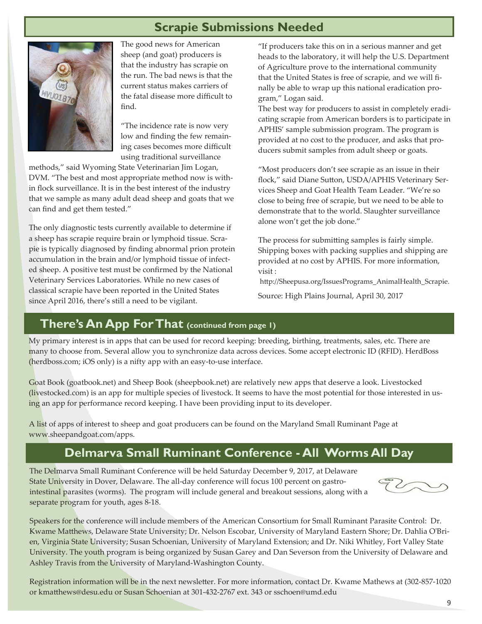# **Scrapie Submissions Needed**



The good news for American sheep (and goat) producers is that the industry has scrapie on the run. The bad news is that the current status makes carriers of the fatal disease more difficult to find.

"The incidence rate is now very low and finding the few remaining cases becomes more difficult using traditional surveillance

methods," said Wyoming State Veterinarian Jim Logan, DVM. "The best and most appropriate method now is within flock surveillance. It is in the best interest of the industry that we sample as many adult dead sheep and goats that we can find and get them tested."

The only diagnostic tests currently available to determine if a sheep has scrapie require brain or lymphoid tissue. Scrapie is typically diagnosed by finding abnormal prion protein accumulation in the brain and/or lymphoid tissue of infected sheep. A positive test must be confirmed by the National Veterinary Services Laboratories. While no new cases of classical scrapie have been reported in the United States since April 2016, there's still a need to be vigilant.

"If producers take this on in a serious manner and get heads to the laboratory, it will help the U.S. Department of Agriculture prove to the international community that the United States is free of scrapie, and we will finally be able to wrap up this national eradication program," Logan said.

The best way for producers to assist in completely eradicating scrapie from American borders is to participate in APHIS' sample submission program. The program is provided at no cost to the producer, and asks that producers submit samples from adult sheep or goats.

"Most producers don't see scrapie as an issue in their flock," said Diane Sutton, USDA/APHIS Veterinary Services Sheep and Goat Health Team Leader. "We're so close to being free of scrapie, but we need to be able to demonstrate that to the world. Slaughter surveillance alone won't get the job done."

The process for submitting samples is fairly simple. Shipping boxes with packing supplies and shipping are provided at no cost by APHIS. For more information, visit :

http://Sheepusa.org/IssuesPrograms\_AnimalHealth\_Scrapie.

Source: High Plains Journal, April 30, 2017

### **There's An App For That (continued from page 1)**

My primary interest is in apps that can be used for record keeping: breeding, birthing, treatments, sales, etc. There are many to choose from. Several allow you to synchronize data across devices. Some accept electronic ID (RFID). HerdBoss (herdboss.com; iOS only) is a nifty app with an easy-to-use interface.

Goat Book (goatbook.net) and Sheep Book (sheepbook.net) are relatively new apps that deserve a look. Livestocked (livestocked.com) is an app for multiple species of livestock. It seems to have the most potential for those interested in using an app for performance record keeping. I have been providing input to its developer.

A list of apps of interest to sheep and goat producers can be found on the Maryland Small Ruminant Page at www.sheepandgoat.com/apps.

### **Delmarva Small Ruminant Conference - All Worms All Day**

The Delmarva Small Ruminant Conference will be held Saturday December 9, 2017, at Delaware State University in Dover, Delaware. The all-day conference will focus 100 percent on gastrointestinal parasites (worms). The program will include general and breakout sessions, along with a separate program for youth, ages 8-18.

Speakers for the conference will include members of the American Consortium for Small Ruminant Parasite Control: Dr. Kwame Matthews, Delaware State University; Dr. Nelson Escobar, University of Maryland Eastern Shore; Dr. Dahlia O'Brien, Virginia State University; Susan Schoenian, University of Maryland Extension; and Dr. Niki Whitley, Fort Valley State University. The youth program is being organized by Susan Garey and Dan Severson from the University of Delaware and Ashley Travis from the University of Maryland-Washington County.

Registration information will be in the next newsletter. For more information, contact Dr. Kwame Mathews at (302-857-1020 or kmaĴhews@desu.edu or Susan Schoenian at 301-432-2767 ext. 343 or sschoen@umd.edu